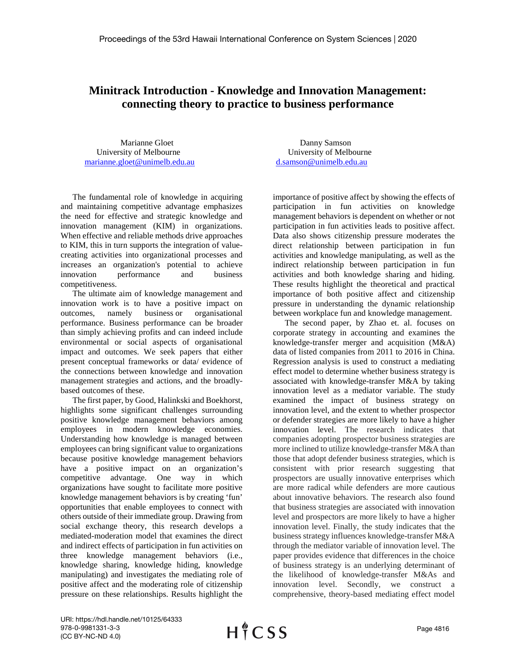## **Minitrack Introduction - Knowledge and Innovation Management: connecting theory to practice to business performance**

University of Melbourne University of Melbourne [marianne.gloet@unimelb.edu.au](mailto:marianne.gloet@unimelb.edu.au) [d.samson@unimelb.edu.au](mailto:d.samson@unimelb.edu.au)

The fundamental role of knowledge in acquiring and maintaining competitive advantage emphasizes the need for effective and strategic knowledge and innovation management (KIM) in organizations. When effective and reliable methods drive approaches to KIM, this in turn supports the integration of valuecreating activities into organizational processes and increases an organization's potential to achieve innovation performance and business competitiveness.

The ultimate aim of knowledge management and innovation work is to have a positive impact on outcomes, namely business or organisational performance. Business performance can be broader than simply achieving profits and can indeed include environmental or social aspects of organisational impact and outcomes. We seek papers that either present conceptual frameworks or data/ evidence of the connections between knowledge and innovation management strategies and actions, and the broadlybased outcomes of these.

The first paper, by Good, Halinkski and Boekhorst, highlights some significant challenges surrounding positive knowledge management behaviors among employees in modern knowledge economies. Understanding how knowledge is managed between employees can bring significant value to organizations because positive knowledge management behaviors have a positive impact on an organization's competitive advantage. One way in which organizations have sought to facilitate more positive knowledge management behaviors is by creating 'fun' opportunities that enable employees to connect with others outside of their immediate group. Drawing from social exchange theory, this research develops a mediated-moderation model that examines the direct and indirect effects of participation in fun activities on three knowledge management behaviors (i.e., knowledge sharing, knowledge hiding, knowledge manipulating) and investigates the mediating role of positive affect and the moderating role of citizenship pressure on these relationships. Results highlight the

Marianne Gloet Danny Samson

importance of positive affect by showing the effects of participation in fun activities on knowledge management behaviors is dependent on whether or not participation in fun activities leads to positive affect. Data also shows citizenship pressure moderates the direct relationship between participation in fun activities and knowledge manipulating, as well as the indirect relationship between participation in fun activities and both knowledge sharing and hiding. These results highlight the theoretical and practical importance of both positive affect and citizenship pressure in understanding the dynamic relationship between workplace fun and knowledge management.

The second paper, by Zhao et. al. focuses on corporate strategy in accounting and examines the knowledge-transfer merger and acquisition (M&A) data of listed companies from 2011 to 2016 in China. Regression analysis is used to construct a mediating effect model to determine whether business strategy is associated with knowledge-transfer M&A by taking innovation level as a mediator variable. The study examined the impact of business strategy on innovation level, and the extent to whether prospector or defender strategies are more likely to have a higher innovation level. The research indicates that companies adopting prospector business strategies are more inclined to utilize knowledge-transfer M&A than those that adopt defender business strategies, which is consistent with prior research suggesting that prospectors are usually innovative enterprises which are more radical while defenders are more cautious about innovative behaviors. The research also found that business strategies are associated with innovation level and prospectors are more likely to have a higher innovation level. Finally, the study indicates that the business strategy influences knowledge-transfer M&A through the mediator variable of innovation level. The paper provides evidence that differences in the choice of business strategy is an underlying determinant of the likelihood of knowledge-transfer M&As and innovation level. Secondly, we construct a comprehensive, theory-based mediating effect model